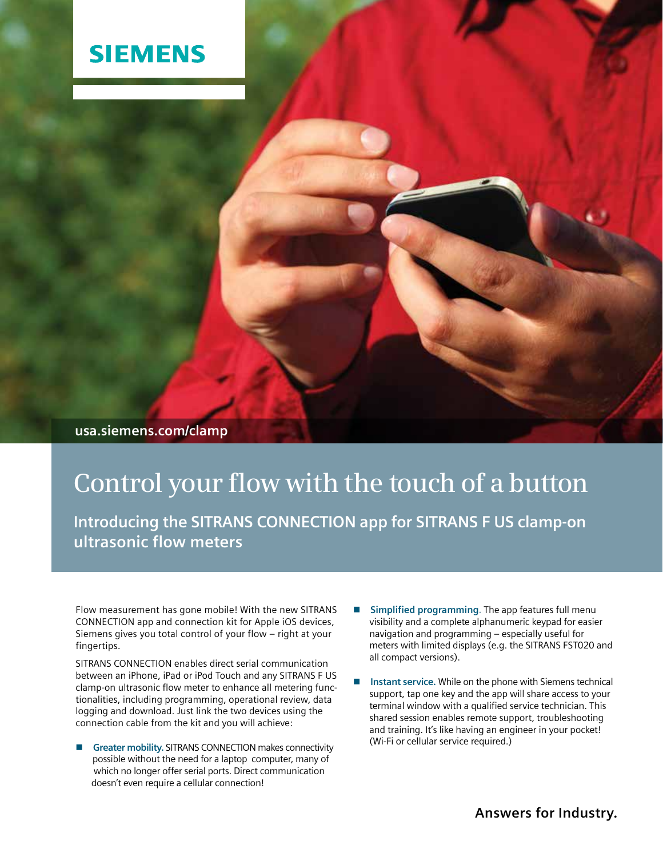## **SIEMENS**

**usa.siemens.com/clamp**

## **Control your flow with the touch of a button**

**Introducing the SITRANS CONNECTION app for SITRANS F US clamp-on ultrasonic flow meters**

Flow measurement has gone mobile! With the new SITRANS CONNECTION app and connection kit for Apple iOS devices, Siemens gives you total control of your flow – right at your fingertips.

SITRANS CONNECTION enables direct serial communication between an iPhone, iPad or iPod Touch and any SITRANS F US clamp-on ultrasonic flow meter to enhance all metering functionalities, including programming, operational review, data logging and download. Just link the two devices using the connection cable from the kit and you will achieve:

- **n** Greater mobility. SITRANS CONNECTION makes connectivity possible without the need for a laptop computer, many of which no longer offer serial ports. Direct communication doesn't even require a cellular connection!
- **n** Simplified programming. The app features full menu visibility and a complete alphanumeric keypad for easier navigation and programming – especially useful for meters with limited displays (e.g. the SITRANS FST020 and all compact versions).
- Instant service. While on the phone with Siemens technical support, tap one key and the app will share access to your terminal window with a qualified service technician. This shared session enables remote support, troubleshooting and training. It's like having an engineer in your pocket! (Wi-Fi or cellular service required.)